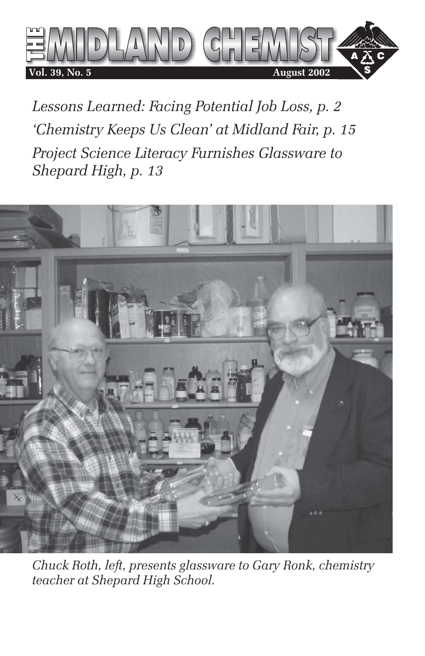

*Lessons Learned: Facing Potential Job Loss, p. 2 'Chemistry Keeps Us Clean' at Midland Fair, p. 15 Project Science Literacy Furnishes Glassware to Shepard High, p. 13*



*Chuck Roth, left, presents glassware to Gary Ronk, chemistry teacher at Shepard High School.*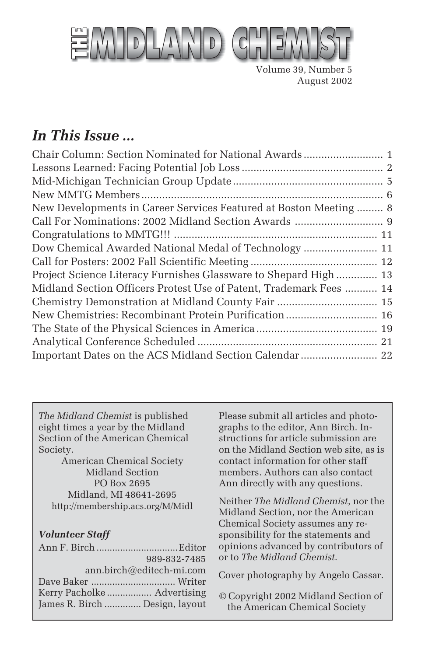

Volume 39, Number 5 August 2002

## *In This Issue ...*

| Chair Column: Section Nominated for National Awards  1             |
|--------------------------------------------------------------------|
|                                                                    |
|                                                                    |
|                                                                    |
| New Developments in Career Services Featured at Boston Meeting 8   |
| Call For Nominations: 2002 Midland Section Awards  9               |
|                                                                    |
| Dow Chemical Awarded National Medal of Technology  11              |
|                                                                    |
| Project Science Literacy Furnishes Glassware to Shepard High 13    |
| Midland Section Officers Protest Use of Patent, Trademark Fees  14 |
| Chemistry Demonstration at Midland County Fair  15                 |
| New Chemistries: Recombinant Protein Purification 16               |
|                                                                    |
|                                                                    |
| Important Dates on the ACS Midland Section Calendar  22            |
|                                                                    |

*The Midland Chemist* is published eight times a year by the Midland Section of the American Chemical Society.

American Chemical Society Midland Section PO Box 2695 Midland, MI 48641-2695 http://membership.acs.org/M/Midl

#### *Volunteer Staff*

|                                | 989-832-7485 |
|--------------------------------|--------------|
| ann.birch@editech-mi.com       |              |
|                                |              |
|                                |              |
| James R. Birch  Design, layout |              |

Please submit all articles and photographs to the editor, Ann Birch. Instructions for article submission are on the Midland Section web site, as is contact information for other staff members. Authors can also contact Ann directly with any questions.

Neither *The Midland Chemist*, nor the Midland Section, nor the American Chemical Society assumes any responsibility for the statements and opinions advanced by contributors of or to *The Midland Chemist*.

Cover photography by Angelo Cassar.

© Copyright 2002 Midland Section of the American Chemical Society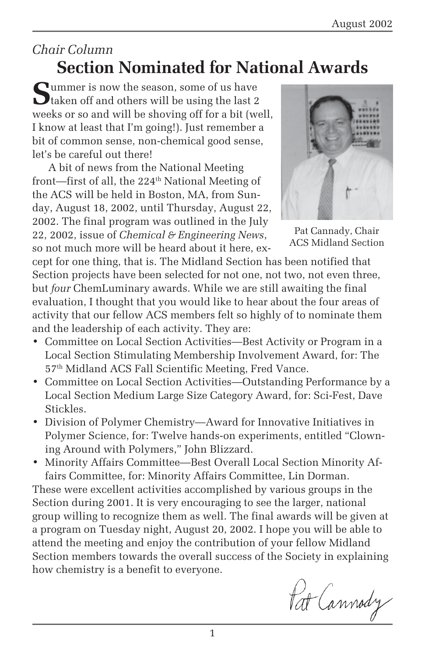## *Chair Column* **Section Nominated for National Awards**

Summer is now the season, some of us have<br>taken off and others will be using the last 2 weeks or so and will be shoving off for a bit (well, I know at least that I'm going!). Just remember a bit of common sense, non-chemical good sense, let's be careful out there!

A bit of news from the National Meeting front—first of all, the 224<sup>th</sup> National Meeting of the ACS will be held in Boston, MA, from Sunday, August 18, 2002, until Thursday, August 22, 2002. The final program was outlined in the July 22, 2002, issue of *Chemical & Engineering News*, so not much more will be heard about it here, ex-



Pat Cannady, Chair ACS Midland Section

cept for one thing, that is. The Midland Section has been notified that Section projects have been selected for not one, not two, not even three, but *four* ChemLuminary awards. While we are still awaiting the final evaluation, I thought that you would like to hear about the four areas of activity that our fellow ACS members felt so highly of to nominate them and the leadership of each activity. They are:

- Committee on Local Section Activities—Best Activity or Program in a Local Section Stimulating Membership Involvement Award, for: The 57th Midland ACS Fall Scientific Meeting, Fred Vance.
- Committee on Local Section Activities—Outstanding Performance by a Local Section Medium Large Size Category Award, for: Sci-Fest, Dave Stickles.
- Division of Polymer Chemistry—Award for Innovative Initiatives in Polymer Science, for: Twelve hands-on experiments, entitled "Clowning Around with Polymers," John Blizzard.
- Minority Affairs Committee—Best Overall Local Section Minority Affairs Committee, for: Minority Affairs Committee, Lin Dorman.

These were excellent activities accomplished by various groups in the Section during 2001. It is very encouraging to see the larger, national group willing to recognize them as well. The final awards will be given at a program on Tuesday night, August 20, 2002. I hope you will be able to attend the meeting and enjoy the contribution of your fellow Midland Section members towards the overall success of the Society in explaining how chemistry is a benefit to everyone.

Pat Cannody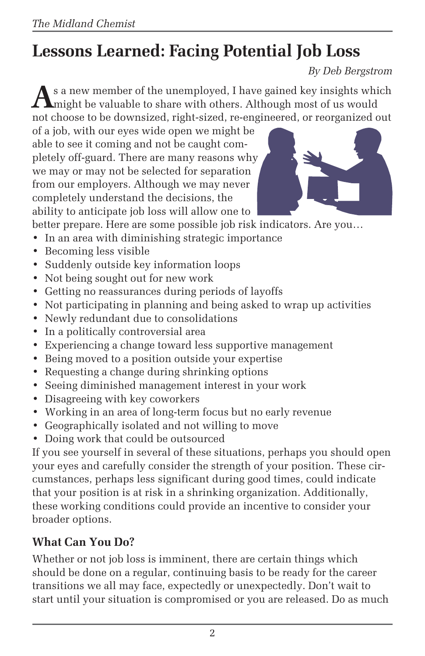# **Lessons Learned: Facing Potential Job Loss**

*By Deb Bergstrom*

**A**s a new member of the unemployed, I have gained key insights which **L** might be valuable to share with others. Although most of us would not choose to be downsized, right-sized, re-engineered, or reorganized out

of a job, with our eyes wide open we might be able to see it coming and not be caught completely off-guard. There are many reasons why we may or may not be selected for separation from our employers. Although we may never completely understand the decisions, the ability to anticipate job loss will allow one to



better prepare. Here are some possible job risk indicators. Are you…

- In an area with diminishing strategic importance
- Becoming less visible
- Suddenly outside key information loops
- Not being sought out for new work
- Getting no reassurances during periods of layoffs
- Not participating in planning and being asked to wrap up activities
- Newly redundant due to consolidations
- In a politically controversial area
- Experiencing a change toward less supportive management
- Being moved to a position outside your expertise
- Requesting a change during shrinking options
- Seeing diminished management interest in your work
- Disagreeing with key coworkers
- Working in an area of long-term focus but no early revenue
- Geographically isolated and not willing to move
- Doing work that could be outsourced

If you see yourself in several of these situations, perhaps you should open your eyes and carefully consider the strength of your position. These circumstances, perhaps less significant during good times, could indicate that your position is at risk in a shrinking organization. Additionally, these working conditions could provide an incentive to consider your broader options.

### **What Can You Do?**

Whether or not job loss is imminent, there are certain things which should be done on a regular, continuing basis to be ready for the career transitions we all may face, expectedly or unexpectedly. Don't wait to start until your situation is compromised or you are released. Do as much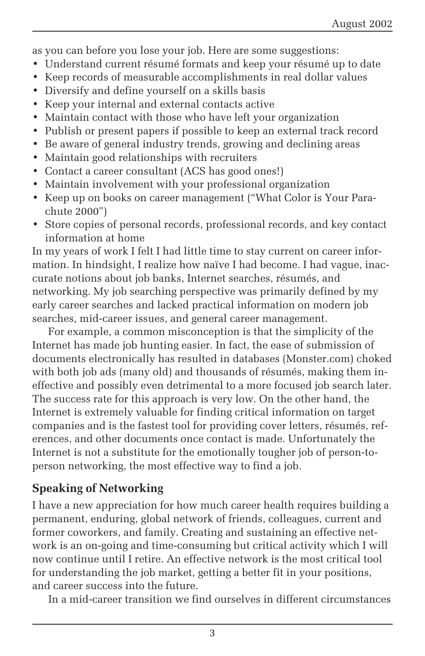as you can before you lose your job. Here are some suggestions:

- Understand current résumé formats and keep your résumé up to date
- Keep records of measurable accomplishments in real dollar values
- Diversify and define yourself on a skills basis
- Keep your internal and external contacts active
- Maintain contact with those who have left your organization
- Publish or present papers if possible to keep an external track record
- Be aware of general industry trends, growing and declining areas
- Maintain good relationships with recruiters
- Contact a career consultant (ACS has good ones!)
- Maintain involvement with your professional organization
- Keep up on books on career management ("What Color is Your Parachute 2000")
- Store copies of personal records, professional records, and key contact information at home

In my years of work I felt I had little time to stay current on career information. In hindsight, I realize how naïve I had become. I had vague, inaccurate notions about job banks, Internet searches, résumés, and networking. My job searching perspective was primarily defined by my early career searches and lacked practical information on modern job searches, mid-career issues, and general career management.

For example, a common misconception is that the simplicity of the Internet has made job hunting easier. In fact, the ease of submission of documents electronically has resulted in databases (Monster.com) choked with both job ads (many old) and thousands of résumés, making them ineffective and possibly even detrimental to a more focused job search later. The success rate for this approach is very low. On the other hand, the Internet is extremely valuable for finding critical information on target companies and is the fastest tool for providing cover letters, résumés, references, and other documents once contact is made. Unfortunately the Internet is not a substitute for the emotionally tougher job of person-toperson networking, the most effective way to find a job.

### **Speaking of Networking**

I have a new appreciation for how much career health requires building a permanent, enduring, global network of friends, colleagues, current and former coworkers, and family. Creating and sustaining an effective network is an on-going and time-consuming but critical activity which I will now continue until I retire. An effective network is the most critical tool for understanding the job market, getting a better fit in your positions, and career success into the future.

In a mid-career transition we find ourselves in different circumstances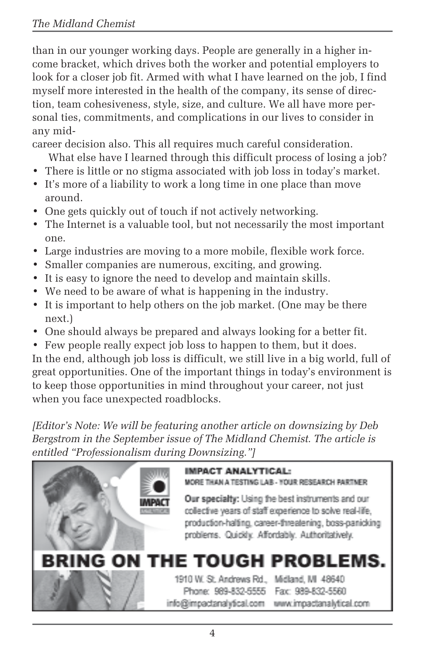than in our younger working days. People are generally in a higher income bracket, which drives both the worker and potential employers to look for a closer job fit. Armed with what I have learned on the job, I find myself more interested in the health of the company, its sense of direction, team cohesiveness, style, size, and culture. We all have more personal ties, commitments, and complications in our lives to consider in any mid-

career decision also. This all requires much careful consideration.

- What else have I learned through this difficult process of losing a job?
- There is little or no stigma associated with job loss in today's market.
- It's more of a liability to work a long time in one place than move around.
- One gets quickly out of touch if not actively networking.
- The Internet is a valuable tool, but not necessarily the most important one.
- Large industries are moving to a more mobile, flexible work force.
- Smaller companies are numerous, exciting, and growing.
- It is easy to ignore the need to develop and maintain skills.
- We need to be aware of what is happening in the industry.
- It is important to help others on the job market. (One may be there next.)
- One should always be prepared and always looking for a better fit.
- Few people really expect job loss to happen to them, but it does.

In the end, although job loss is difficult, we still live in a big world, full of great opportunities. One of the important things in today's environment is to keep those opportunities in mind throughout your career, not just when you face unexpected roadblocks.

*[Editor's Note: We will be featuring another article on downsizing by Deb Bergstrom in the September issue of The Midland Chemist. The article is entitled "Professionalism during Downsizing."]*

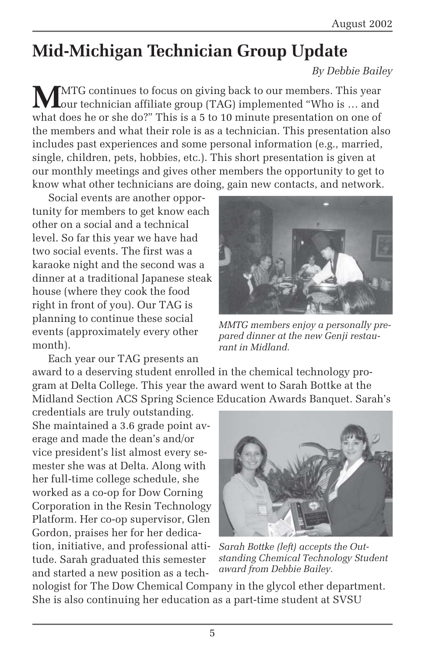# **Mid-Michigan Technician Group Update**

#### *By Debbie Bailey*

**M**MTG continues to focus on giving back to our members. This year our technician affiliate group (TAG) implemented "Who is … and what does he or she do?" This is a 5 to 10 minute presentation on one of the members and what their role is as a technician. This presentation also includes past experiences and some personal information (e.g., married, single, children, pets, hobbies, etc.). This short presentation is given at our monthly meetings and gives other members the opportunity to get to know what other technicians are doing, gain new contacts, and network.

Social events are another opportunity for members to get know each other on a social and a technical level. So far this year we have had two social events. The first was a karaoke night and the second was a dinner at a traditional Japanese steak house (where they cook the food right in front of you). Our TAG is planning to continue these social events (approximately every other month).



*MMTG members enjoy a personally prepared dinner at the new Genji restaurant in Midland.*

Each year our TAG presents an award to a deserving student enrolled in the chemical technology program at Delta College. This year the award went to Sarah Bottke at the Midland Section ACS Spring Science Education Awards Banquet. Sarah's

credentials are truly outstanding. She maintained a 3.6 grade point average and made the dean's and/or vice president's list almost every semester she was at Delta. Along with her full-time college schedule, she worked as a co-op for Dow Corning Corporation in the Resin Technology Platform. Her co-op supervisor, Glen Gordon, praises her for her dedication, initiative, and professional attitude. Sarah graduated this semester and started a new position as a tech-



*Sarah Bottke (left) accepts the Outstanding Chemical Technology Student award from Debbie Bailey.*

nologist for The Dow Chemical Company in the glycol ether department. She is also continuing her education as a part-time student at SVSU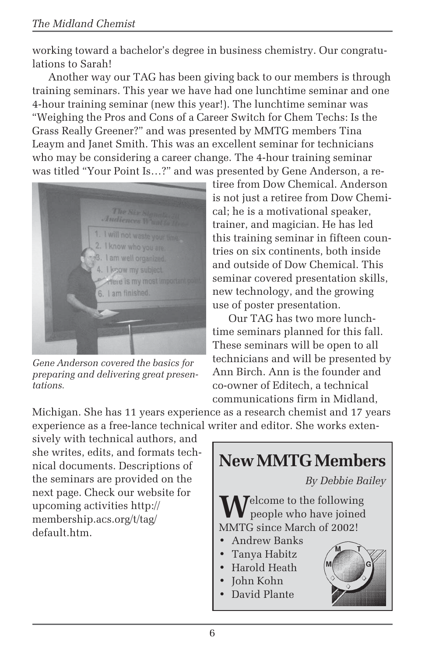working toward a bachelor's degree in business chemistry. Our congratulations to Sarah!

Another way our TAG has been giving back to our members is through training seminars. This year we have had one lunchtime seminar and one 4-hour training seminar (new this year!). The lunchtime seminar was "Weighing the Pros and Cons of a Career Switch for Chem Techs: Is the Grass Really Greener?" and was presented by MMTG members Tina Leaym and Janet Smith. This was an excellent seminar for technicians who may be considering a career change. The 4-hour training seminar was titled "Your Point Is…?" and was presented by Gene Anderson, a re-



*Gene Anderson covered the basics for preparing and delivering great presentations.*

tiree from Dow Chemical. Anderson is not just a retiree from Dow Chemical; he is a motivational speaker, trainer, and magician. He has led this training seminar in fifteen countries on six continents, both inside and outside of Dow Chemical. This seminar covered presentation skills, new technology, and the growing use of poster presentation.

Our TAG has two more lunchtime seminars planned for this fall. These seminars will be open to all technicians and will be presented by Ann Birch. Ann is the founder and co-owner of Editech, a technical communications firm in Midland,

Michigan. She has 11 years experience as a research chemist and 17 years experience as a free-lance technical writer and editor. She works exten-

sively with technical authors, and she writes, edits, and formats technical documents. Descriptions of the seminars are provided on the next page. Check our website for upcoming activities http:// membership.acs.org/t/tag/ default.htm.

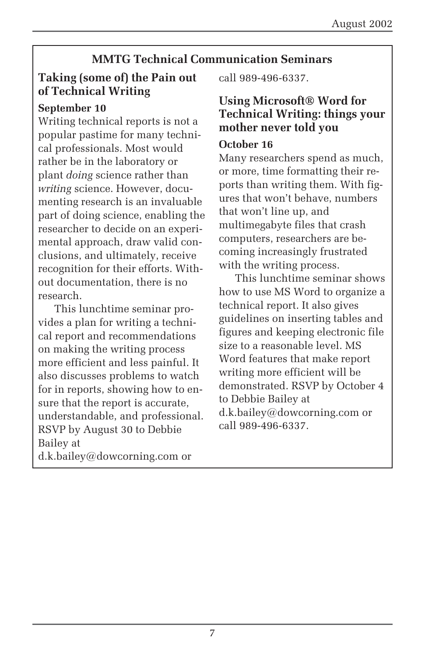### **MMTG Technical Communication Seminars**

### **Taking (some of) the Pain out of Technical Writing**

### **September 10**

Writing technical reports is not a popular pastime for many technical professionals. Most would rather be in the laboratory or plant *doing* science rather than *writing* science. However, documenting research is an invaluable part of doing science, enabling the researcher to decide on an experimental approach, draw valid conclusions, and ultimately, receive recognition for their efforts. Without documentation, there is no research.

This lunchtime seminar provides a plan for writing a technical report and recommendations on making the writing process more efficient and less painful. It also discusses problems to watch for in reports, showing how to ensure that the report is accurate, understandable, and professional. RSVP by August 30 to Debbie Bailey at d.k.bailey@dowcorning.com or

call 989-496-6337.

### **Using Microsoft® Word for Technical Writing: things your mother never told you**

#### **October 16**

Many researchers spend as much, or more, time formatting their reports than writing them. With figures that won't behave, numbers that won't line up, and multimegabyte files that crash computers, researchers are becoming increasingly frustrated with the writing process.

This lunchtime seminar shows how to use MS Word to organize a technical report. It also gives guidelines on inserting tables and figures and keeping electronic file size to a reasonable level. MS Word features that make report writing more efficient will be demonstrated. RSVP by October 4 to Debbie Bailey at d.k.bailey@dowcorning.com or call 989-496-6337.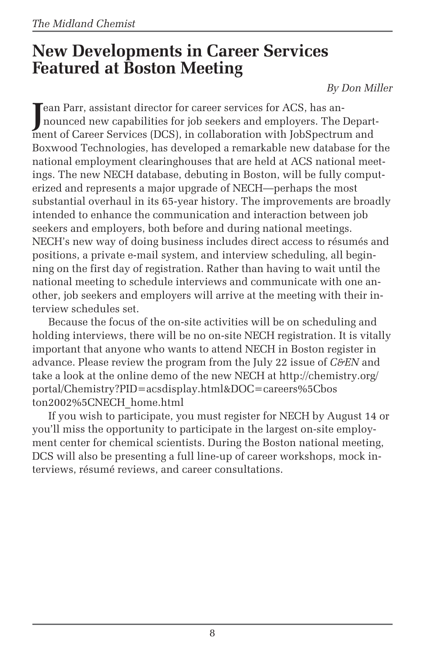## **New Developments in Career Services Featured at Boston Meeting**

*By Don Miller*

**J**ean Parr, assistant director for career services for ACS, has an-<br>nounced new capabilities for job seekers and employers. The l nounced new capabilities for job seekers and employers. The Department of Career Services (DCS), in collaboration with JobSpectrum and Boxwood Technologies, has developed a remarkable new database for the national employment clearinghouses that are held at ACS national meetings. The new NECH database, debuting in Boston, will be fully computerized and represents a major upgrade of NECH—perhaps the most substantial overhaul in its 65-year history. The improvements are broadly intended to enhance the communication and interaction between job seekers and employers, both before and during national meetings. NECH's new way of doing business includes direct access to résumés and positions, a private e-mail system, and interview scheduling, all beginning on the first day of registration. Rather than having to wait until the national meeting to schedule interviews and communicate with one another, job seekers and employers will arrive at the meeting with their interview schedules set.

Because the focus of the on-site activities will be on scheduling and holding interviews, there will be no on-site NECH registration. It is vitally important that anyone who wants to attend NECH in Boston register in advance. Please review the program from the July 22 issue of *C&EN* and take a look at the online demo of the new NECH at http://chemistry.org/ portal/Chemistry?PID=acsdisplay.html&DOC=careers%5Cbos ton2002%5CNECH\_home.html

If you wish to participate, you must register for NECH by August 14 or you'll miss the opportunity to participate in the largest on-site employment center for chemical scientists. During the Boston national meeting, DCS will also be presenting a full line-up of career workshops, mock interviews, résumé reviews, and career consultations.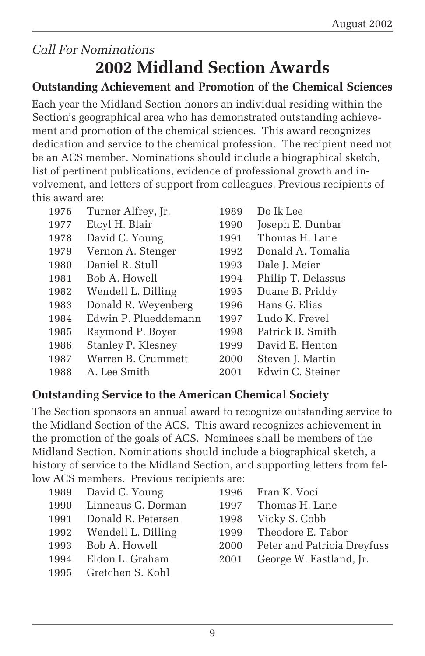## *Call For Nominations* **2002 Midland Section Awards**

### **Outstanding Achievement and Promotion of the Chemical Sciences**

Each year the Midland Section honors an individual residing within the Section's geographical area who has demonstrated outstanding achievement and promotion of the chemical sciences. This award recognizes dedication and service to the chemical profession. The recipient need not be an ACS member. Nominations should include a biographical sketch, list of pertinent publications, evidence of professional growth and involvement, and letters of support from colleagues. Previous recipients of this award are:

| 1976 | Turner Alfrey, Jr.   | 1989 | Do Ik Lee          |
|------|----------------------|------|--------------------|
| 1977 | Etcyl H. Blair       | 1990 | Joseph E. Dunbar   |
| 1978 | David C. Young       | 1991 | Thomas H. Lane     |
| 1979 | Vernon A. Stenger    | 1992 | Donald A. Tomalia  |
| 1980 | Daniel R. Stull      | 1993 | Dale J. Meier      |
| 1981 | Bob A. Howell        | 1994 | Philip T. Delassus |
| 1982 | Wendell L. Dilling   | 1995 | Duane B. Priddy    |
| 1983 | Donald R. Weyenberg  | 1996 | Hans G. Elias      |
| 1984 | Edwin P. Plueddemann | 1997 | Ludo K. Frevel     |
| 1985 | Raymond P. Boyer     | 1998 | Patrick B. Smith   |
| 1986 | Stanley P. Klesney   | 1999 | David E. Henton    |
| 1987 | Warren B. Crummett   | 2000 | Steven J. Martin   |
| 1988 | A. Lee Smith         | 2001 | Edwin C. Steiner   |

### **Outstanding Service to the American Chemical Society**

The Section sponsors an annual award to recognize outstanding service to the Midland Section of the ACS. This award recognizes achievement in the promotion of the goals of ACS. Nominees shall be members of the Midland Section. Nominations should include a biographical sketch, a history of service to the Midland Section, and supporting letters from fellow ACS members. Previous recipients are:

| 1989 David C. Young     |      | 1996 Fran K. Voci                |
|-------------------------|------|----------------------------------|
| 1990 Linneaus C. Dorman |      | 1997 Thomas H. Lane              |
| 1991 Donald R. Petersen |      | 1998 Vicky S. Cobb               |
| 1992 Wendell L. Dilling |      | 1999 Theodore E. Tabor           |
| 1993 Bob A. Howell      |      | 2000 Peter and Patricia Dreyfuss |
| 1994 Eldon L. Graham    | 2001 | George W. Eastland, Jr.          |
| 1995 Gretchen S. Kohl   |      |                                  |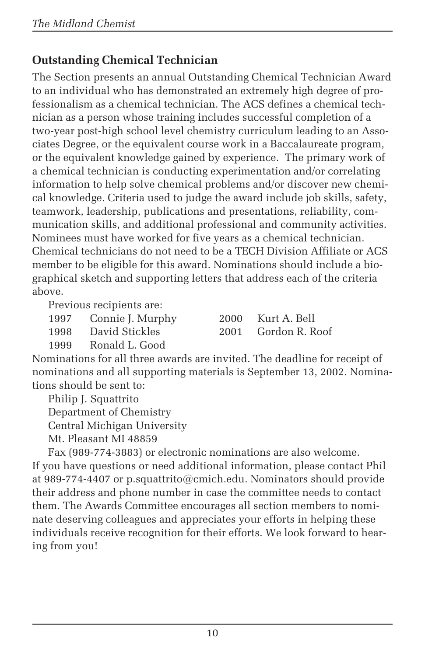### **Outstanding Chemical Technician**

The Section presents an annual Outstanding Chemical Technician Award to an individual who has demonstrated an extremely high degree of professionalism as a chemical technician. The ACS defines a chemical technician as a person whose training includes successful completion of a two-year post-high school level chemistry curriculum leading to an Associates Degree, or the equivalent course work in a Baccalaureate program, or the equivalent knowledge gained by experience. The primary work of a chemical technician is conducting experimentation and/or correlating information to help solve chemical problems and/or discover new chemical knowledge. Criteria used to judge the award include job skills, safety, teamwork, leadership, publications and presentations, reliability, communication skills, and additional professional and community activities. Nominees must have worked for five years as a chemical technician. Chemical technicians do not need to be a TECH Division Affiliate or ACS member to be eligible for this award. Nominations should include a biographical sketch and supporting letters that address each of the criteria above.

Previous recipients are:

| 1997 | Connie J. Murph                                                                                                                                                                                                                                                                                                                                             |
|------|-------------------------------------------------------------------------------------------------------------------------------------------------------------------------------------------------------------------------------------------------------------------------------------------------------------------------------------------------------------|
| 1000 | $\mathcal{D}$ $\mathcal{D}$ $\mathcal{D}$ $\mathcal{D}$ $\mathcal{D}$ $\mathcal{D}$ $\mathcal{D}$ $\mathcal{D}$ $\mathcal{D}$ $\mathcal{D}$ $\mathcal{D}$ $\mathcal{D}$ $\mathcal{D}$ $\mathcal{D}$ $\mathcal{D}$ $\mathcal{D}$ $\mathcal{D}$ $\mathcal{D}$ $\mathcal{D}$ $\mathcal{D}$ $\mathcal{D}$ $\mathcal{D}$ $\mathcal{D}$ $\mathcal{D}$ $\mathcal{$ |

1997 Nurt A. Bell 1998 David Stickles 2001 Gordon R. Roof

1999 Ronald L. Good

Nominations for all three awards are invited. The deadline for receipt of nominations and all supporting materials is September 13, 2002. Nominations should be sent to:

Philip J. Squattrito

Department of Chemistry

Central Michigan University

Mt. Pleasant MI 48859

Fax (989-774-3883) or electronic nominations are also welcome. If you have questions or need additional information, please contact Phil at 989-774-4407 or p.squattrito@cmich.edu. Nominators should provide their address and phone number in case the committee needs to contact them. The Awards Committee encourages all section members to nominate deserving colleagues and appreciates your efforts in helping these individuals receive recognition for their efforts. We look forward to hearing from you!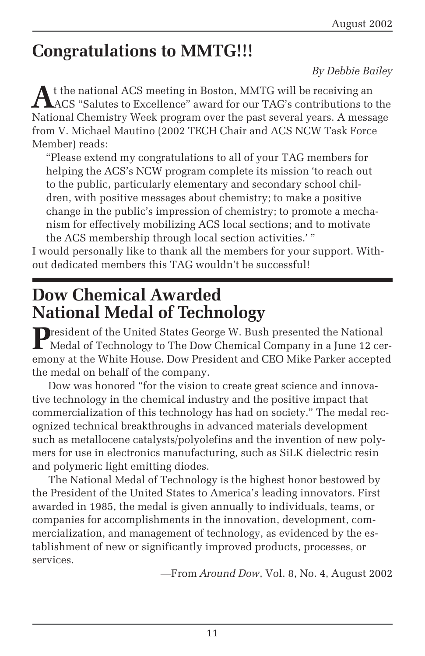# **Congratulations to MMTG!!!**

#### *By Debbie Bailey*

At the national ACS meeting in Boston, MMTG will be receiving an ACS "Salutes to Excellence" award for our TAG's contributions to the National Chemistry Week program over the past several years. A message from V. Michael Mautino (2002 TECH Chair and ACS NCW Task Force Member) reads:

"Please extend my congratulations to all of your TAG members for helping the ACS's NCW program complete its mission 'to reach out to the public, particularly elementary and secondary school children, with positive messages about chemistry; to make a positive change in the public's impression of chemistry; to promote a mechanism for effectively mobilizing ACS local sections; and to motivate the ACS membership through local section activities.' "

I would personally like to thank all the members for your support. Without dedicated members this TAG wouldn't be successful!

# **Dow Chemical Awarded National Medal of Technology**

**P**resident of the United States George W. Bush presented the National Medal of Technology to The Dow Chemical Company in a June 12 ceremony at the White House. Dow President and CEO Mike Parker accepted the medal on behalf of the company.

Dow was honored "for the vision to create great science and innovative technology in the chemical industry and the positive impact that commercialization of this technology has had on society." The medal recognized technical breakthroughs in advanced materials development such as metallocene catalysts/polyolefins and the invention of new polymers for use in electronics manufacturing, such as SiLK dielectric resin and polymeric light emitting diodes.

The National Medal of Technology is the highest honor bestowed by the President of the United States to America's leading innovators. First awarded in 1985, the medal is given annually to individuals, teams, or companies for accomplishments in the innovation, development, commercialization, and management of technology, as evidenced by the establishment of new or significantly improved products, processes, or services.

—From *Around Dow*, Vol. 8, No. 4, August 2002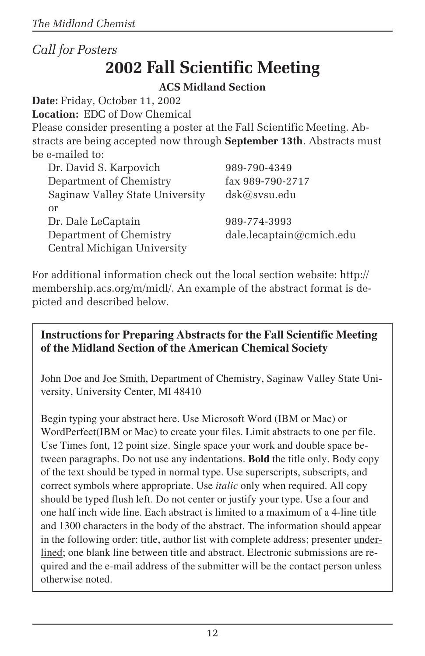## *Call for Posters* **2002 Fall Scientific Meeting**

### **ACS Midland Section**

**Date:** Friday, October 11, 2002

**Location:** EDC of Dow Chemical

Please consider presenting a poster at the Fall Scientific Meeting. Abstracts are being accepted now through **September 13th**. Abstracts must be e-mailed to:

| Dr. David S. Karpovich          | 989-790-4349             |
|---------------------------------|--------------------------|
| Department of Chemistry         | fax 989-790-2717         |
| Saginaw Valley State University | dsk@svsu.edu             |
| or                              |                          |
| Dr. Dale LeCaptain              | 989-774-3993             |
| Department of Chemistry         | dale.lecaptain@cmich.edu |
| Central Michigan University     |                          |

For additional information check out the local section website: http:// membership.acs.org/m/midl/. An example of the abstract format is depicted and described below.

### **Instructions for Preparing Abstracts for the Fall Scientific Meeting of the Midland Section of the American Chemical Society**

John Doe and Joe Smith, Department of Chemistry, Saginaw Valley State University, University Center, MI 48410

Begin typing your abstract here. Use Microsoft Word (IBM or Mac) or WordPerfect(IBM or Mac) to create your files. Limit abstracts to one per file. Use Times font, 12 point size. Single space your work and double space between paragraphs. Do not use any indentations. **Bold** the title only. Body copy of the text should be typed in normal type. Use superscripts, subscripts, and correct symbols where appropriate. Use *italic* only when required. All copy should be typed flush left. Do not center or justify your type. Use a four and one half inch wide line. Each abstract is limited to a maximum of a 4-line title and 1300 characters in the body of the abstract. The information should appear in the following order: title, author list with complete address; presenter underlined; one blank line between title and abstract. Electronic submissions are required and the e-mail address of the submitter will be the contact person unless otherwise noted.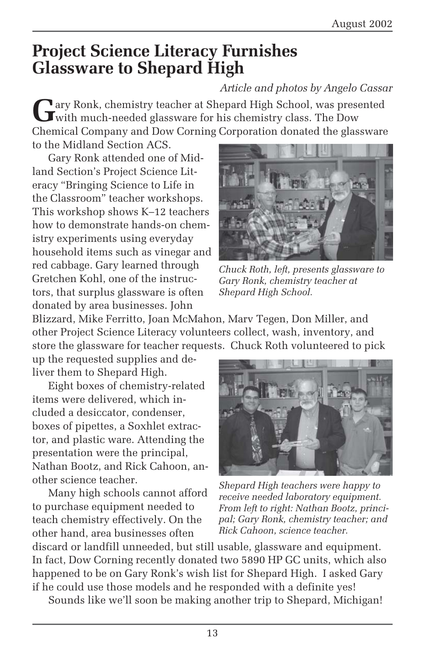# **Project Science Literacy Furnishes Glassware to Shepard High**

### *Article and photos by Angelo Cassar*

Gary Ronk, chemistry teacher at Shepard High School, was presented<br>with much-needed glassware for his chemistry class. The Dow Chemical Company and Dow Corning Corporation donated the glassware to the Midland Section ACS.

Gary Ronk attended one of Midland Section's Project Science Literacy "Bringing Science to Life in the Classroom" teacher workshops. This workshop shows K–12 teachers how to demonstrate hands-on chemistry experiments using everyday household items such as vinegar and red cabbage. Gary learned through Gretchen Kohl, one of the instructors, that surplus glassware is often donated by area businesses. John



*Chuck Roth, left, presents glassware to Gary Ronk, chemistry teacher at Shepard High School.*

Blizzard, Mike Ferritto, Joan McMahon, Marv Tegen, Don Miller, and other Project Science Literacy volunteers collect, wash, inventory, and store the glassware for teacher requests. Chuck Roth volunteered to pick

up the requested supplies and deliver them to Shepard High.

Eight boxes of chemistry-related items were delivered, which included a desiccator, condenser, boxes of pipettes, a Soxhlet extractor, and plastic ware. Attending the presentation were the principal, Nathan Bootz, and Rick Cahoon, another science teacher.

Many high schools cannot afford to purchase equipment needed to teach chemistry effectively. On the other hand, area businesses often



*Shepard High teachers were happy to receive needed laboratory equipment. From left to right: Nathan Bootz, principal; Gary Ronk, chemistry teacher; and Rick Cahoon, science teacher.*

discard or landfill unneeded, but still usable, glassware and equipment. In fact, Dow Corning recently donated two 5890 HP GC units, which also happened to be on Gary Ronk's wish list for Shepard High. I asked Gary if he could use those models and he responded with a definite yes!

Sounds like we'll soon be making another trip to Shepard, Michigan!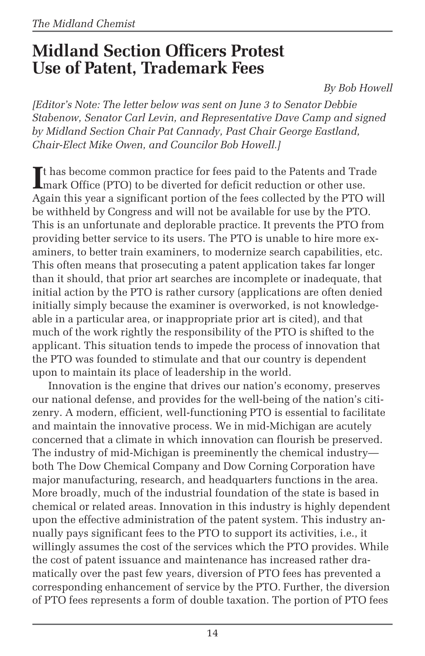## **Midland Section Officers Protest Use of Patent, Trademark Fees**

*By Bob Howell*

*[Editor's Note: The letter below was sent on June 3 to Senator Debbie Stabenow, Senator Carl Levin, and Representative Dave Camp and signed by Midland Section Chair Pat Cannady, Past Chair George Eastland, Chair-Elect Mike Owen, and Councilor Bob Howell.]*

It has become common practice for fees paid to the Patents and Tra<br>
mark Office (PTO) to be diverted for deficit reduction or other use. **T** thas become common practice for fees paid to the Patents and Trade Again this year a significant portion of the fees collected by the PTO will be withheld by Congress and will not be available for use by the PTO. This is an unfortunate and deplorable practice. It prevents the PTO from providing better service to its users. The PTO is unable to hire more examiners, to better train examiners, to modernize search capabilities, etc. This often means that prosecuting a patent application takes far longer than it should, that prior art searches are incomplete or inadequate, that initial action by the PTO is rather cursory (applications are often denied initially simply because the examiner is overworked, is not knowledgeable in a particular area, or inappropriate prior art is cited), and that much of the work rightly the responsibility of the PTO is shifted to the applicant. This situation tends to impede the process of innovation that the PTO was founded to stimulate and that our country is dependent upon to maintain its place of leadership in the world.

Innovation is the engine that drives our nation's economy, preserves our national defense, and provides for the well-being of the nation's citizenry. A modern, efficient, well-functioning PTO is essential to facilitate and maintain the innovative process. We in mid-Michigan are acutely concerned that a climate in which innovation can flourish be preserved. The industry of mid-Michigan is preeminently the chemical industry both The Dow Chemical Company and Dow Corning Corporation have major manufacturing, research, and headquarters functions in the area. More broadly, much of the industrial foundation of the state is based in chemical or related areas. Innovation in this industry is highly dependent upon the effective administration of the patent system. This industry annually pays significant fees to the PTO to support its activities, i.e., it willingly assumes the cost of the services which the PTO provides. While the cost of patent issuance and maintenance has increased rather dramatically over the past few years, diversion of PTO fees has prevented a corresponding enhancement of service by the PTO. Further, the diversion of PTO fees represents a form of double taxation. The portion of PTO fees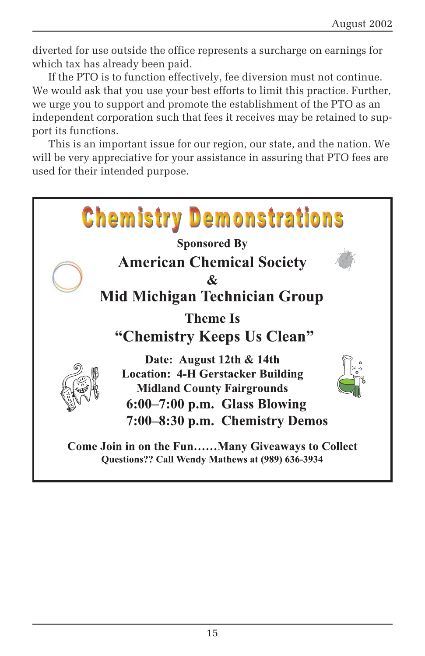diverted for use outside the office represents a surcharge on earnings for which tax has already been paid.

If the PTO is to function effectively, fee diversion must not continue. We would ask that you use your best efforts to limit this practice. Further, we urge you to support and promote the establishment of the PTO as an independent corporation such that fees it receives may be retained to support its functions.

This is an important issue for our region, our state, and the nation. We will be very appreciative for your assistance in assuring that PTO fees are used for their intended purpose.

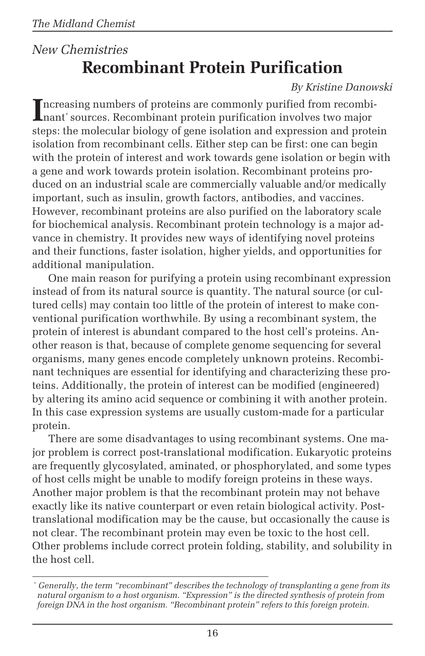## *New Chemistries* **Recombinant Protein Purification**

### *By Kristine Danowski*

Increasing numbers of proteins are commonly purified from recombi-<br>nant\*sources. Recombinant protein purification involves two major nant\* sources. Recombinant protein purification involves two major steps: the molecular biology of gene isolation and expression and protein isolation from recombinant cells. Either step can be first: one can begin with the protein of interest and work towards gene isolation or begin with a gene and work towards protein isolation. Recombinant proteins produced on an industrial scale are commercially valuable and/or medically important, such as insulin, growth factors, antibodies, and vaccines. However, recombinant proteins are also purified on the laboratory scale for biochemical analysis. Recombinant protein technology is a major advance in chemistry. It provides new ways of identifying novel proteins and their functions, faster isolation, higher yields, and opportunities for additional manipulation.

One main reason for purifying a protein using recombinant expression instead of from its natural source is quantity. The natural source (or cultured cells) may contain too little of the protein of interest to make conventional purification worthwhile. By using a recombinant system, the protein of interest is abundant compared to the host cell's proteins. Another reason is that, because of complete genome sequencing for several organisms, many genes encode completely unknown proteins. Recombinant techniques are essential for identifying and characterizing these proteins. Additionally, the protein of interest can be modified (engineered) by altering its amino acid sequence or combining it with another protein. In this case expression systems are usually custom-made for a particular protein.

There are some disadvantages to using recombinant systems. One major problem is correct post-translational modification. Eukaryotic proteins are frequently glycosylated, aminated, or phosphorylated, and some types of host cells might be unable to modify foreign proteins in these ways. Another major problem is that the recombinant protein may not behave exactly like its native counterpart or even retain biological activity. Posttranslational modification may be the cause, but occasionally the cause is not clear. The recombinant protein may even be toxic to the host cell. Other problems include correct protein folding, stability, and solubility in the host cell.

*<sup>\*</sup> Generally, the term "recombinant" describes the technology of transplanting a gene from its natural organism to a host organism. "Expression" is the directed synthesis of protein from foreign DNA in the host organism. "Recombinant protein" refers to this foreign protein.*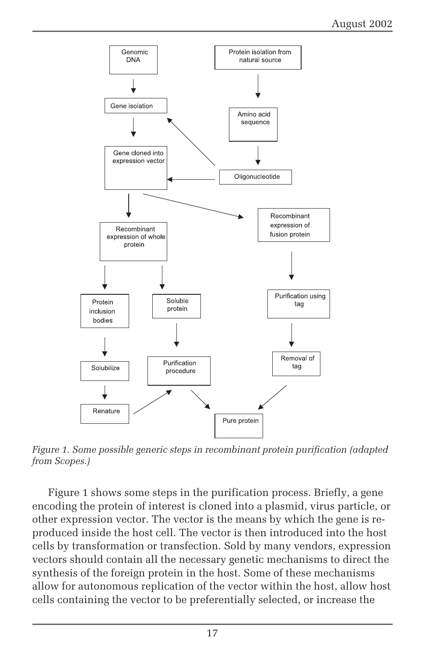

*Figure 1. Some possible generic steps in recombinant protein purification (adapted from Scopes.)*

Figure 1 shows some steps in the purification process. Briefly, a gene encoding the protein of interest is cloned into a plasmid, virus particle, or other expression vector. The vector is the means by which the gene is reproduced inside the host cell. The vector is then introduced into the host cells by transformation or transfection. Sold by many vendors, expression vectors should contain all the necessary genetic mechanisms to direct the synthesis of the foreign protein in the host. Some of these mechanisms allow for autonomous replication of the vector within the host, allow host cells containing the vector to be preferentially selected, or increase the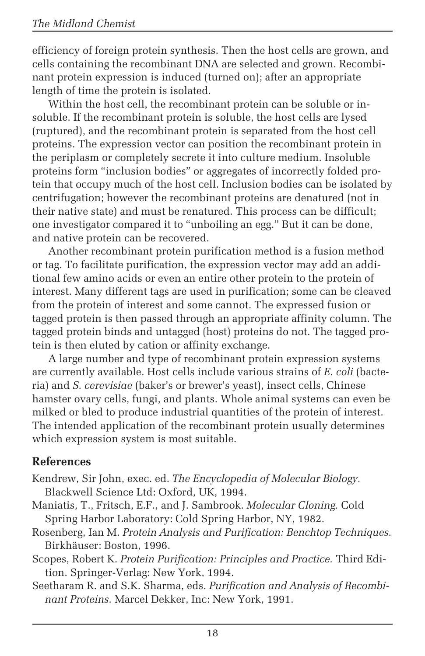efficiency of foreign protein synthesis. Then the host cells are grown, and cells containing the recombinant DNA are selected and grown. Recombinant protein expression is induced (turned on); after an appropriate length of time the protein is isolated.

Within the host cell, the recombinant protein can be soluble or insoluble. If the recombinant protein is soluble, the host cells are lysed (ruptured), and the recombinant protein is separated from the host cell proteins. The expression vector can position the recombinant protein in the periplasm or completely secrete it into culture medium. Insoluble proteins form "inclusion bodies" or aggregates of incorrectly folded protein that occupy much of the host cell. Inclusion bodies can be isolated by centrifugation; however the recombinant proteins are denatured (not in their native state) and must be renatured. This process can be difficult; one investigator compared it to "unboiling an egg." But it can be done, and native protein can be recovered.

Another recombinant protein purification method is a fusion method or tag. To facilitate purification, the expression vector may add an additional few amino acids or even an entire other protein to the protein of interest. Many different tags are used in purification; some can be cleaved from the protein of interest and some cannot. The expressed fusion or tagged protein is then passed through an appropriate affinity column. The tagged protein binds and untagged (host) proteins do not. The tagged protein is then eluted by cation or affinity exchange.

A large number and type of recombinant protein expression systems are currently available. Host cells include various strains of *E. coli* (bacteria) and *S. cerevisiae* (baker's or brewer's yeast), insect cells, Chinese hamster ovary cells, fungi, and plants. Whole animal systems can even be milked or bled to produce industrial quantities of the protein of interest. The intended application of the recombinant protein usually determines which expression system is most suitable.

### **References**

- Kendrew, Sir John, exec. ed. *The Encyclopedia of Molecular Biology.* Blackwell Science Ltd: Oxford, UK, 1994.
- Maniatis, T., Fritsch, E.F., and J. Sambrook. *Molecular Cloning.* Cold Spring Harbor Laboratory: Cold Spring Harbor, NY, 1982.
- Rosenberg, Ian M. *Protein Analysis and Purification: Benchtop Techniques.* Birkhäuser: Boston, 1996.
- Scopes, Robert K. *Protein Purification: Principles and Practice.* Third Edition. Springer-Verlag: New York, 1994.
- Seetharam R. and S.K. Sharma, eds. *Purification and Analysis of Recombinant Proteins.* Marcel Dekker, Inc: New York, 1991.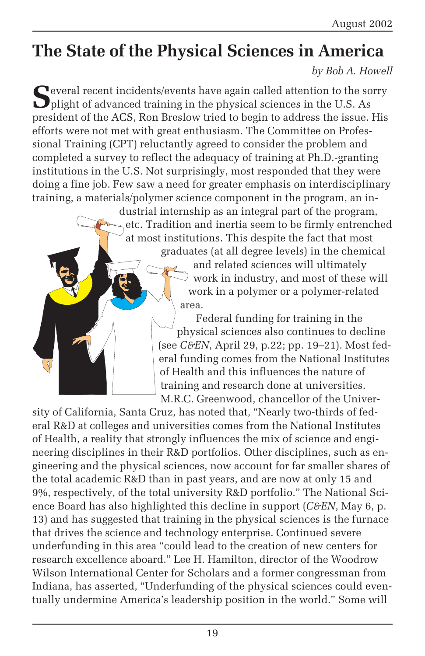# **The State of the Physical Sciences in America**

### *by Bob A. Howell*

Several recent incidents/events have again called attention to the sorry plight of advanced training in the physical sciences in the U.S. As president of the ACS, Ron Breslow tried to begin to address the issue. His efforts were not met with great enthusiasm. The Committee on Professional Training (CPT) reluctantly agreed to consider the problem and completed a survey to reflect the adequacy of training at Ph.D.-granting institutions in the U.S. Not surprisingly, most responded that they were doing a fine job. Few saw a need for greater emphasis on interdisciplinary training, a materials/polymer science component in the program, an in-

dustrial internship as an integral part of the program, etc. Tradition and inertia seem to be firmly entrenched at most institutions. This despite the fact that most

graduates (at all degree levels) in the chemical and related sciences will ultimately work in industry, and most of these will work in a polymer or a polymer-related area.

Federal funding for training in the physical sciences also continues to decline (see *C&EN*, April 29, p.22; pp. 19–21). Most federal funding comes from the National Institutes of Health and this influences the nature of training and research done at universities. M.R.C. Greenwood, chancellor of the Univer-

sity of California, Santa Cruz, has noted that, "Nearly two-thirds of federal R&D at colleges and universities comes from the National Institutes of Health, a reality that strongly influences the mix of science and engineering disciplines in their R&D portfolios. Other disciplines, such as engineering and the physical sciences, now account for far smaller shares of the total academic R&D than in past years, and are now at only 15 and 9%, respectively, of the total university R&D portfolio." The National Science Board has also highlighted this decline in support (*C&EN*, May 6, p. 13) and has suggested that training in the physical sciences is the furnace that drives the science and technology enterprise. Continued severe underfunding in this area "could lead to the creation of new centers for research excellence aboard." Lee H. Hamilton, director of the Woodrow Wilson International Center for Scholars and a former congressman from Indiana, has asserted, "Underfunding of the physical sciences could eventually undermine America's leadership position in the world." Some will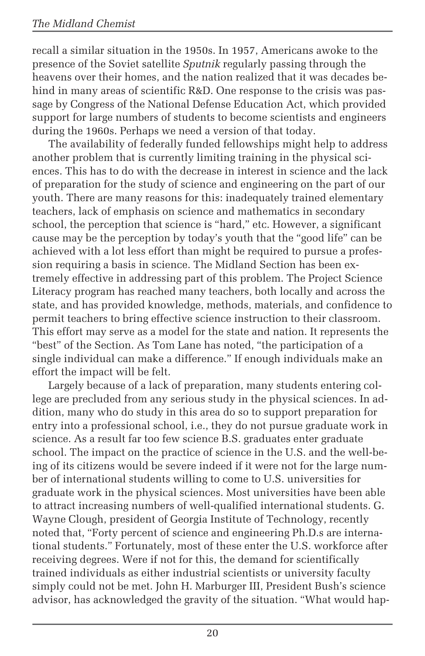recall a similar situation in the 1950s. In 1957, Americans awoke to the presence of the Soviet satellite *Sputnik* regularly passing through the heavens over their homes, and the nation realized that it was decades behind in many areas of scientific R&D. One response to the crisis was passage by Congress of the National Defense Education Act, which provided support for large numbers of students to become scientists and engineers during the 1960s. Perhaps we need a version of that today.

The availability of federally funded fellowships might help to address another problem that is currently limiting training in the physical sciences. This has to do with the decrease in interest in science and the lack of preparation for the study of science and engineering on the part of our youth. There are many reasons for this: inadequately trained elementary teachers, lack of emphasis on science and mathematics in secondary school, the perception that science is "hard," etc. However, a significant cause may be the perception by today's youth that the "good life" can be achieved with a lot less effort than might be required to pursue a profession requiring a basis in science. The Midland Section has been extremely effective in addressing part of this problem. The Project Science Literacy program has reached many teachers, both locally and across the state, and has provided knowledge, methods, materials, and confidence to permit teachers to bring effective science instruction to their classroom. This effort may serve as a model for the state and nation. It represents the "best" of the Section. As Tom Lane has noted, "the participation of a single individual can make a difference." If enough individuals make an effort the impact will be felt.

Largely because of a lack of preparation, many students entering college are precluded from any serious study in the physical sciences. In addition, many who do study in this area do so to support preparation for entry into a professional school, i.e., they do not pursue graduate work in science. As a result far too few science B.S. graduates enter graduate school. The impact on the practice of science in the U.S. and the well-being of its citizens would be severe indeed if it were not for the large number of international students willing to come to U.S. universities for graduate work in the physical sciences. Most universities have been able to attract increasing numbers of well-qualified international students. G. Wayne Clough, president of Georgia Institute of Technology, recently noted that, "Forty percent of science and engineering Ph.D.s are international students." Fortunately, most of these enter the U.S. workforce after receiving degrees. Were if not for this, the demand for scientifically trained individuals as either industrial scientists or university faculty simply could not be met. John H. Marburger III, President Bush's science advisor, has acknowledged the gravity of the situation. "What would hap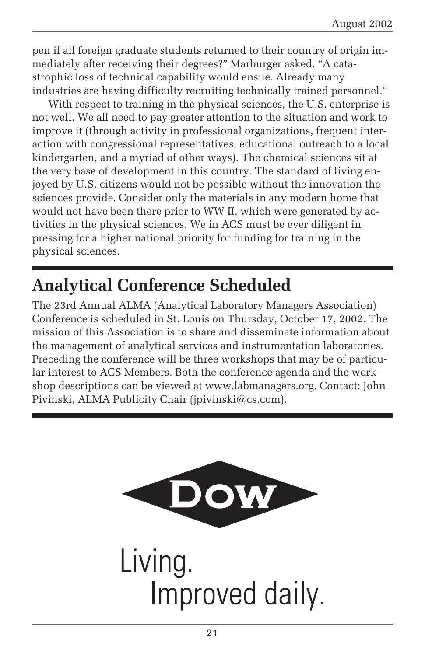pen if all foreign graduate students returned to their country of origin immediately after receiving their degrees?" Marburger asked. "A catastrophic loss of technical capability would ensue. Already many industries are having difficulty recruiting technically trained personnel."

With respect to training in the physical sciences, the U.S. enterprise is not well. We all need to pay greater attention to the situation and work to improve it (through activity in professional organizations, frequent interaction with congressional representatives, educational outreach to a local kindergarten, and a myriad of other ways). The chemical sciences sit at the very base of development in this country. The standard of living enjoyed by U.S. citizens would not be possible without the innovation the sciences provide. Consider only the materials in any modern home that would not have been there prior to WW II, which were generated by activities in the physical sciences. We in ACS must be ever diligent in pressing for a higher national priority for funding for training in the physical sciences.

# **Analytical Conference Scheduled**

The 23rd Annual ALMA (Analytical Laboratory Managers Association) Conference is scheduled in St. Louis on Thursday, October 17, 2002. The mission of this Association is to share and disseminate information about the management of analytical services and instrumentation laboratories. Preceding the conference will be three workshops that may be of particular interest to ACS Members. Both the conference agenda and the workshop descriptions can be viewed at www.labmanagers.org. Contact: John Pivinski, ALMA Publicity Chair (jpivinski@cs.com).